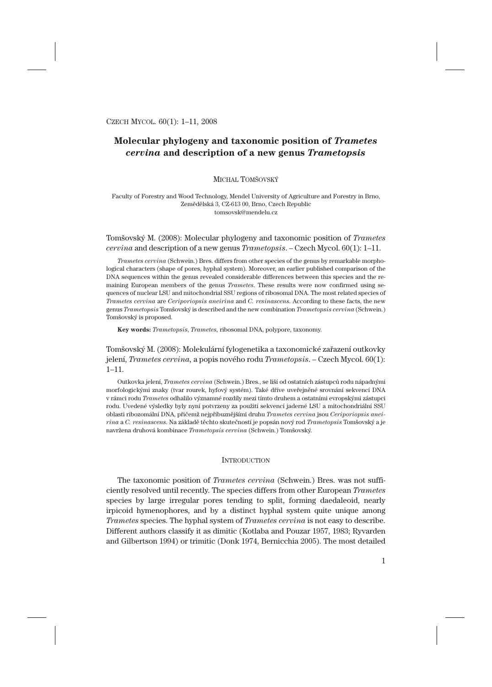# **Molecular phylogeny and taxonomic position of** *Trametes cervina* **and description of a new genus** *Trametopsis*

# MICHAL TOMŠOVSKÝ

Faculty of Forestry and Wood Technology, Mendel University of Agriculture and Forestry in Brno, Zemědělská 3, CZ-613 00, Brno, Czech Republic tomsovsk@mendelu.cz

# Tomšovský M. (2008): Molecular phylogeny and taxonomic position of *Trametes cervina* and description of a new genus *Trametopsis*. – Czech Mycol. 60(1): 1–11.

*Trametes cervina* (Schwein.) Bres. differs from other species of the genus by remarkable morphological characters (shape of pores, hyphal system). Moreover, an earlier published comparison of the DNA sequences within the genus revealed considerable differences between this species and the remaining European members of the genus *Trametes*. These results were now confirmed using sequences of nuclear LSU and mitochondrial SSU regions of ribosomal DNA. The most related species of *Trametes cervina* are *Ceriporiopsis aneirina* and *C. resinascens*. According to these facts, the new genus *Trametopsis* Tomšovský is described and the new combination *Trametopsis cervina* (Schwein.) Tomšovský is proposed.

**Key words:** *Trametopsis*, *Trametes,* ribosomal DNA, polypore, taxonomy.

# Tomšovský M. (2008): Molekulární fylogenetika a taxonomické zařazení outkovky jelení, *Trametes cervina,* a popis nového rodu *Trametopsis*. – Czech Mycol. 60(1): 1–11.

Outkovka jelení, *Trametes cervina* (Schwein.) Bres., se liší od ostatních zástupců rodu nápadnými morfologickými znaky (tvar rourek, hyfový systém). Také dříve uveřejněné srovnání sekvencí DNA v rámci rodu *Trametes* odhalilo významné rozdíly mezi tímto druhem a ostatními evropskými zástupci rodu. Uvedené výsledky byly nyní potvrzeny za použití sekvencí jaderné LSU a mitochondriální SSU oblasti ribozomální DNA, přičemž nejpříbuznějšími druhu *Trametes cervina* jsou *Ceriporiopsis aneirina* a *C. resinascens*. Na základě těchto skutečností je popsán nový rod *Trametopsis* Tomšovský a je navržena druhová kombinace *Trametopsis cervina* (Schwein.) Tomšovský.

#### **INTRODUCTION**

The taxonomic position of *Trametes cervina* (Schwein.) Bres. was not sufficiently resolved until recently. The species differs from other European *Trametes* species by large irregular pores tending to split, forming daedaleoid, nearly irpicoid hymenophores, and by a distinct hyphal system quite unique among *Trametes* species. The hyphal system of *Trametes cervina* is not easy to describe. Different authors classify it as dimitic (Kotlaba and Pouzar 1957, 1983; Ryvarden and Gilbertson 1994) or trimitic (Donk 1974, Bernicchia 2005). The most detailed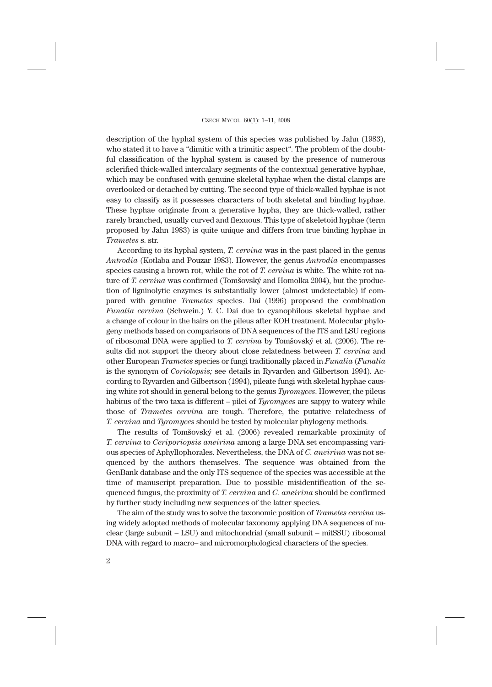description of the hyphal system of this species was published by Jahn (1983), who stated it to have a "dimitic with a trimitic aspect". The problem of the doubtful classification of the hyphal system is caused by the presence of numerous sclerified thick-walled intercalary segments of the contextual generative hyphae, which may be confused with genuine skeletal hyphae when the distal clamps are overlooked or detached by cutting. The second type of thick-walled hyphae is not easy to classify as it possesses characters of both skeletal and binding hyphae. These hyphae originate from a generative hypha, they are thick-walled, rather rarely branched, usually curved and flexuous. This type of skeletoid hyphae (term proposed by Jahn 1983) is quite unique and differs from true binding hyphae in *Trametes* s. str.

According to its hyphal system, *T. cervina* was in the past placed in the genus *Antrodia* (Kotlaba and Pouzar 1983). However, the genus *Antrodia* encompasses species causing a brown rot, while the rot of *T. cervina* is white. The white rot nature of *T. cervina* was confirmed (Tomšovský and Homolka 2004), but the production of ligninolytic enzymes is substantially lower (almost undetectable) if compared with genuine *Trametes* species. Dai (1996) proposed the combination *Funalia cervina* (Schwein.) Y. C. Dai due to cyanophilous skeletal hyphae and a change of colour in the hairs on the pileus after KOH treatment. Molecular phylogeny methods based on comparisons of DNA sequences of the ITS and LSU regions of ribosomal DNA were applied to *T. cervina* by Tomšovský et al. (2006). The results did not support the theory about close relatedness between *T. cervina* and other European *Trametes* species or fungi traditionally placed in *Funalia* (*Funalia* is the synonym of *Coriolopsis;* see details in Ryvarden and Gilbertson 1994). According to Ryvarden and Gilbertson (1994), pileate fungi with skeletal hyphae causing white rot should in general belong to the genus *Tyromyces*. However, the pileus habitus of the two taxa is different – pilei of *Tyromyces* are sappy to watery while those of *Trametes cervina* are tough. Therefore, the putative relatedness of *T. cervina* and *Tyromyces* should be tested by molecular phylogeny methods.

The results of Tomšovský et al. (2006) revealed remarkable proximity of *T. cervina* to *Ceriporiopsis aneirina* among a large DNA set encompassing various species of Aphyllophorales. Nevertheless, the DNA of *C. aneirina* was not sequenced by the authors themselves. The sequence was obtained from the GenBank database and the only ITS sequence of the species was accessible at the time of manuscript preparation. Due to possible misidentification of the sequenced fungus, the proximity of *T. cervina* and *C. aneirina* should be confirmed by further study including new sequences of the latter species.

The aim of the study was to solve the taxonomic position of *Trametes cervina* using widely adopted methods of molecular taxonomy applying DNA sequences of nuclear (large subunit – LSU) and mitochondrial (small subunit – mitSSU) ribosomal DNA with regard to macro– and micromorphological characters of the species.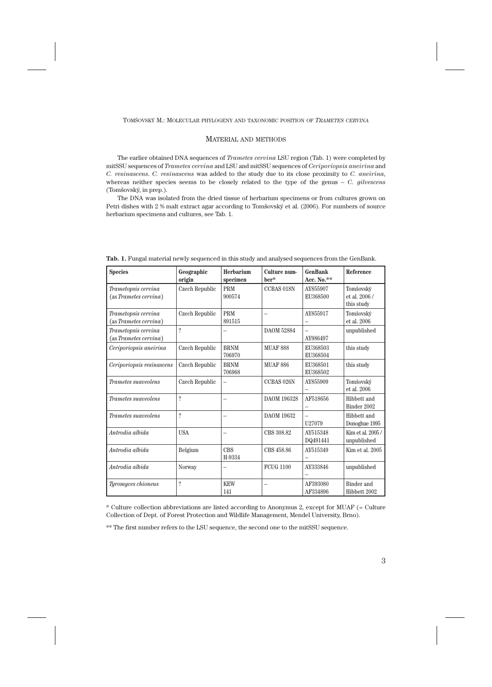# MATERIAL AND METHODS

The earlier obtained DNA sequences of *Trametes cervina* LSU region (Tab. 1) were completed by mitSSU sequences of *Trametes cervina* and LSU and mitSSU sequences of *Ceriporiopsis aneirina* and *C. resinascens*. *C. resinascens* was added to the study due to its close proximity to *C. aneirina*, whereas neither species seems to be closely related to the type of the genus – *C. gilvescens* (Tomšovský, in prep.).

The DNA was isolated from the dried tissue of herbarium specimens or from cultures grown on Petri dishes with 2 % malt extract agar according to Tomšovský et al. (2006). For numbers of source herbarium specimens and cultures, see Tab. 1.

| <b>Species</b>                               | Geographic<br>origin     | Herbarium<br>specimen | Culture num-<br>ber* | <b>GenBank</b><br>Acc. No. $**$ | Reference                                |
|----------------------------------------------|--------------------------|-----------------------|----------------------|---------------------------------|------------------------------------------|
| Trametopsis cervina<br>(as Trametes cervina) | Czech Republic           | <b>PRM</b><br>900574  | CCBAS 018N           | AY855907<br>EU368500            | Tomšovský<br>et al. 2006 /<br>this study |
| Trametopsis cervina<br>(as Trametes cervina) | Czech Republic           | <b>PRM</b><br>891515  |                      | AY855917                        | Tomšovský<br>et al. 2006                 |
| Trametopsis cervina<br>(as Trametes cervina) | $\overline{\mathcal{L}}$ |                       | <b>DAOM 52884</b>    | AY986497                        | unpublished                              |
| Ceriporiopsis aneirina                       | Czech Republic           | <b>BRNM</b><br>706970 | <b>MUAF 888</b>      | EU368503<br>EU368504            | this study                               |
| Ceriporiopsis resinascens                    | Czech Republic           | <b>BRNM</b><br>706968 | <b>MUAF 886</b>      | EU368501<br>EU368502            | this study                               |
| Trametes suaveolens                          | Czech Republic           |                       | CCBAS 026N           | AY855909                        | Tomšovský<br>et al. 2006                 |
| Trametes suaveolens                          | $\overline{\mathcal{C}}$ |                       | DAOM 196328          | AF518656                        | Hibbett and<br>Binder 2002               |
| Trametes suaveolens                          | $\overline{?}$           |                       | <b>DAOM 19632</b>    | U27079                          | Hibbett and<br>Donoghue 1995             |
| Antrodia albida                              | <b>USA</b>               |                       | CBS 308.82           | AY515348<br>DQ491441            | Kim et al. 2005/<br>unpublished          |
| Antrodia albida                              | Belgium                  | <b>CBS</b><br>H-9334  | CBS 458.86           | AY515349                        | Kim et al. 2005                          |
| Antrodia albida                              | Norway                   | -                     | <b>FCUG 1100</b>     | AY333846                        | unpublished                              |
| Tyromyces chioneus                           | $\overline{\mathcal{L}}$ | <b>KEW</b><br>141     |                      | AF393080<br>AF334896            | Binder and<br>Hibbett 2002               |

**Tab. 1.** Fungal material newly sequenced in this study and analysed sequences from the GenBank.

\* Culture collection abbreviations are listed according to Anonymus 2, except for MUAF (= Culture Collection of Dept. of Forest Protection and Wildlife Management, Mendel University, Brno).

\*\* The first number refers to the LSU sequence, the second one to the mitSSU sequence.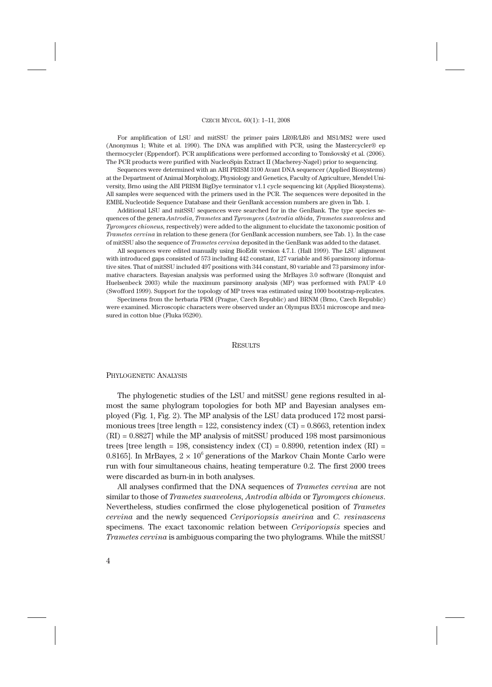#### CZECH MYCOL. 60(1): 1–11, 2008

For amplification of LSU and mitSSU the primer pairs LR0R/LR6 and MS1/MS2 were used (Anonymus 1; White et al. 1990). The DNA was amplified with PCR, using the Mastercycler® ep thermocycler (Eppendorf). PCR amplifications were performed according to Tomšovský et al. (2006). The PCR products were purified with NucleoSpin Extract II (Macherey-Nagel) prior to sequencing.

Sequences were determined with an ABI PRISM 3100 Avant DNA sequencer (Applied Biosystems) at the Department of Animal Morphology, Physiology and Genetics, Faculty of Agriculture, Mendel University, Brno using the ABI PRISM BigDye terminator v1.1 cycle sequencing kit (Applied Biosystems). All samples were sequenced with the primers used in the PCR. The sequences were deposited in the EMBL Nucleotide Sequence Database and their GenBank accession numbers are given in Tab. 1.

Additional LSU and mitSSU sequences were searched for in the GenBank. The type species sequences of the genera *Antrodia*, *Trametes* and *Tyromyces* (*Antrodia albida, Trametes suaveolens* and *Tyromyces chioneus,* respectively) were added to the alignment to elucidate the taxonomic position of *Trametes cervina* in relation to these genera (for GenBank accession numbers, see Tab. 1). In the case of mitSSU also the sequence of *Trametes cervina* deposited in the GenBank was added to the dataset.

All sequences were edited manually using BioEdit version 4.7.1. (Hall 1999). The LSU alignment with introduced gaps consisted of 573 including 442 constant, 127 variable and 86 parsimony informative sites. That of mitSSU included 497 positions with 344 constant, 80 variable and 73 parsimony informative characters. Bayesian analysis was performed using the MrBayes 3.0 software (Ronquist and Huelsenbeck 2003) while the maximum parsimony analysis (MP) was performed with PAUP 4.0 (Swofford 1999). Support for the topology of MP trees was estimated using 1000 bootstrap-replicates.

Specimens from the herbaria PRM (Prague, Czech Republic) and BRNM (Brno, Czech Republic) were examined. Microscopic characters were observed under an Olympus BX51 microscope and measured in cotton blue (Fluka 95290).

#### **RESULTS**

#### PHYLOGENETIC ANALYSIS

The phylogenetic studies of the LSU and mitSSU gene regions resulted in almost the same phylogram topologies for both MP and Bayesian analyses employed (Fig. 1, Fig. 2). The MP analysis of the LSU data produced 172 most parsimonious trees [tree length  $= 122$ , consistency index (CI)  $= 0.8663$ , retention index (RI) = 0.8827] while the MP analysis of mitSSU produced 198 most parsimonious trees [tree length = 198, consistency index (CI) =  $0.8990$ , retention index (RI) = 0.8165]. In MrBayes,  $2 \times 10^6$  generations of the Markov Chain Monte Carlo were run with four simultaneous chains, heating temperature 0.2. The first 2000 trees were discarded as burn-in in both analyses.

All analyses confirmed that the DNA sequences of *Trametes cervina* are not similar to those of *Trametes suaveolens, Antrodia albida* or *Tyromyces chioneus*. Nevertheless, studies confirmed the close phylogenetical position of *Trametes cervina* and the newly sequenced *Ceriporiopsis aneirina* and *C. resinascens* specimens. The exact taxonomic relation between *Ceriporiopsis* species and *Trametes cervina* is ambiguous comparing the two phylograms. While the mitSSU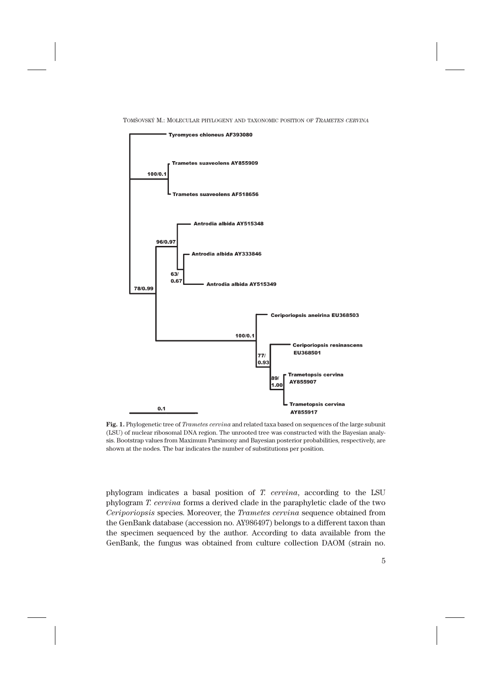



**Fig. 1.** Phylogenetic tree of *Trametes cervina* and related taxa based on sequences of the large subunit (LSU) of nuclear ribosomal DNA region. The unrooted tree was constructed with the Bayesian analysis. Bootstrap values from Maximum Parsimony and Bayesian posterior probabilities, respectively, are shown at the nodes. The bar indicates the number of substitutions per position.

phylogram indicates a basal position of *T. cervina*, according to the LSU phylogram *T. cervina* forms a derived clade in the paraphyletic clade of the two *Ceriporiopsis* species. Moreover, the *Trametes cervina* sequence obtained from the GenBank database (accession no. AY986497) belongs to a different taxon than the specimen sequenced by the author. According to data available from the GenBank, the fungus was obtained from culture collection DAOM (strain no.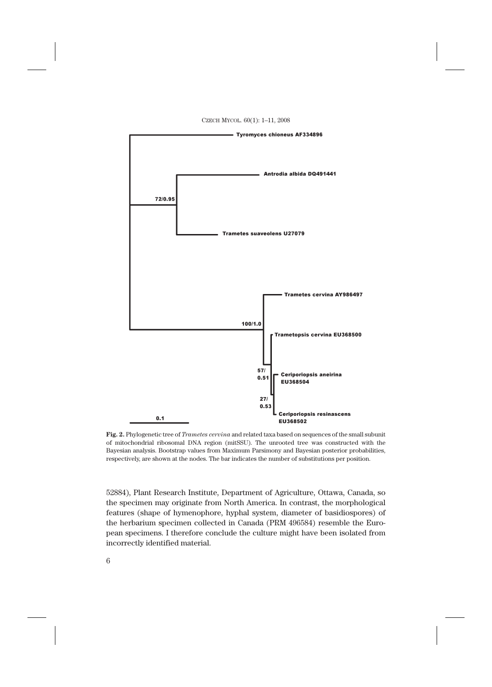



**Fig. 2.** Phylogenetic tree of *Trametes cervina* and related taxa based on sequences of the small subunit of mitochondrial ribosomal DNA region (mitSSU). The unrooted tree was constructed with the Bayesian analysis. Bootstrap values from Maximum Parsimony and Bayesian posterior probabilities, respectively, are shown at the nodes. The bar indicates the number of substitutions per position.

52884), Plant Research Institute, Department of Agriculture, Ottawa, Canada, so the specimen may originate from North America. In contrast, the morphological features (shape of hymenophore, hyphal system, diameter of basidiospores) of the herbarium specimen collected in Canada (PRM 496584) resemble the European specimens. I therefore conclude the culture might have been isolated from incorrectly identified material.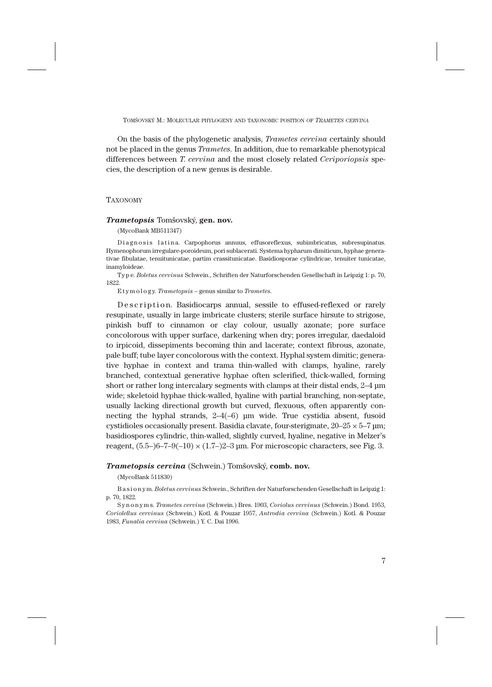TOMŠOVSKÝ M.: MOLECULAR PHYLOGENY AND TAXONOMIC POSITION OF *TRAMETES CERVINA*

On the basis of the phylogenetic analysis, *Trametes cervina* certainly should not be placed in the genus *Trametes.* In addition, due to remarkable phenotypical differences between *T*. *cervina* and the most closely related *Ceriporiopsis* species, the description of a new genus is desirable.

# **TAXONOMY**

### *Trametopsis* Tomšovský, **gen. nov.**

(MycoBank MB511347)

Diagnosis latina. Carpophorus annuus, effusoreflexus, subimbricatus, subresupinatus. Hymenophorum irregulare-poroideum, pori sublacerati. Systema hypharum dimiticum, hyphae generativae fibulatae, tenuitunicatae, partim crassitunicatae. Basidiosporae cylindricae, tenuiter tunicatae, inamyloideae.

Ty p e. *Boletus cervinus* Schwein., Schriften der Naturforschenden Gesellschaft in Leipzig 1: p. 70, 1822.

E t y m o l o g y. *Trametopsis* – genus similar to *Trametes.*

Description. Basidiocarps annual, sessile to effused-reflexed or rarely resupinate, usually in large imbricate clusters; sterile surface hirsute to strigose, pinkish buff to cinnamon or clay colour, usually azonate; pore surface concolorous with upper surface, darkening when dry; pores irregular, daedaloid to irpicoid, dissepiments becoming thin and lacerate; context fibrous, azonate, pale buff; tube layer concolorous with the context. Hyphal system dimitic; generative hyphae in context and trama thin-walled with clamps, hyaline, rarely branched, contextual generative hyphae often sclerified, thick-walled, forming short or rather long intercalary segments with clamps at their distal ends, 2–4 μm wide; skeletoid hyphae thick-walled, hyaline with partial branching, non-septate, usually lacking directional growth but curved, flexuous, often apparently connecting the hyphal strands, 2–4(–6) μm wide. True cystidia absent, fusoid cystidioles occasionally present. Basidia clavate, four-sterigmate,  $20-25 \times 5-7$   $\mu$ m; basidiospores cylindric, thin-walled, slightly curved, hyaline, negative in Melzer's reagent,  $(5.5-6-7-9(-10) \times (1.7-2-3)$  µm. For microscopic characters, see Fig. 3.

### *Trametopsis cervina* (Schwein.) Tomšovský, **comb. nov.**

(MycoBank 511830)

B a s i o n y m. *Boletus cervinus* Schwein., Schriften der Naturforschenden Gesellschaft in Leipzig 1: p. 70, 1822.

S y n o n y m s. *Trametes cervina* (Schwein.) Bres. 1903, *Coriolus cervinus* (Schwein.) Bond. 1953, *Coriolellus cervinus* (Schwein.) Kotl. & Pouzar 1957, *Antrodia cervina* (Schwein.) Kotl. & Pouzar 1983, *Funalia cervina* (Schwein.) Y. C. Dai 1996.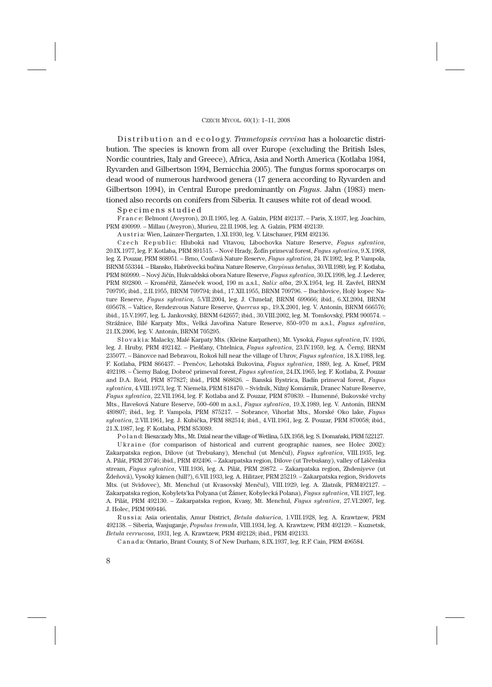D is tribution and ecology. *Trametopsis cervina* has a holoarctic distribution. The species is known from all over Europe (excluding the British Isles, Nordic countries, Italy and Greece), Africa, Asia and North America (Kotlaba 1984, Ryvarden and Gilbertson 1994, Bernicchia 2005). The fungus forms sporocarps on dead wood of numerous hardwood genera (17 genera according to Ryvarden and Gilbertson 1994), in Central Europe predominantly on *Fagus*. Jahn (1983) mentioned also records on conifers from Siberia. It causes white rot of dead wood.

#### Specimens studied

F r a n c e: Belmont (Aveyron), 20.II.1905, leg. A. Galzin, PRM 492137. – Paris, X.1937, leg. Joachim, PRM 490999. – Millau (Aveyron), Murieu, 22.II.1908, leg. A. Galzin, PRM 492139.

A u s t r i a: Wien, Lainzer-Tiergarten, 1.XI.1930, leg. V. Litschauer, PRM 492136.

Czech Republic: Hluboká nad Vltavou, Libochovka Nature Reserve, *Fagus sylvatica*, 20.IX.1977, leg. F. Kotlaba, PRM 891515. – Nové Hrady, Žofín primeval forest, *Fagus sylvatica*, 9.X.1968, leg. Z. Pouzar, PRM 868951. – Brno, Coufavá Nature Reserve, *Fagus sylvatica*, 24. IV.1992, leg. P. Vampola, BRNM 553344. – Blansko, Habrůvecká bučina Nature Reserve, *Carpinus betulus*, 30.VII.1989, leg. F. Kotlaba, PRM 869999. – Nový Jičín, Hukvaldská obora Nature Reserve, *Fagus sylvatica*, 30.IX.1998, leg. J. Lederer, PRM 892800. – Kroměříž, Zámeček wood, 190 m a.s.l., *Salix alba*, 29.X.1954, leg. H. Zavřel, BRNM 709795; ibid., 2.II.1955, BRNM 709794; ibid., 17.XII.1955, BRNM 709796. – Buchlovice, Holý kopec Nature Reserve, *Fagus sylvatica*, 5.VII.2004, leg. J. Chmelař, BRNM 699666; ibid., 6.XI.2004, BRNM 695678. – Valtice, Rendezvous Nature Reserve, *Quercus* sp., 19.X.2001, leg. V. Antonín, BRNM 666576; ibid., 15.V.1997, leg. L. Jankovský, BRNM 642657; ibid., 30.VIII.2002, leg. M. Tomšovský, PRM 900574. – Strážnice, Bílé Karpaty Mts., Velká Javořina Nature Reserve, 850–970 m a.s.l., *Fagus sylvatica*, 21.IX.2006, leg. V. Antonín, BRNM 705295.

S l o v a k i a: Malacky, Malé Karpaty Mts. (Kleine Karpathen), Mt. Vysoká, *Fagus sylvatica*, IV. 1926, leg. J. Hruby, PRM 492142. – Piešťany, Chtelnica, *Fagus sylvatica*, 23.IV.1959, leg. A. Černý, BRNM 235077. – Bánovce nad Bebravou, Rokoš hill near the village of Uhrov, *Fagus sylvatica*, 18.X.1988, leg. F. Kotlaba, PRM 866437. – Prenčov, Lehotská Bukovina, *Fagus sylvatica*, 1889, leg. A. Kmeť, PRM 492198. – Čierny Balog, Dobroč primeval forest, *Fagus sylvatica*, 24.IX.1965, leg. F. Kotlaba, Z. Pouzar and D.A. Reid, PRM 877827; ibid., PRM 868626. – Banská Bystrica, Badín primeval forest, *Fagus sylvatica*, 4.VIII.1973, leg. T. Niemelä, PRM 818470. – Svidník, Nižný Komárnik, Dranec Nature Reserve, *Fagus sylvatica*, 22.VII.1964, leg. F. Kotlaba and Z. Pouzar, PRM 870839. – Humenné, Bukovské vrchy Mts., Havešová Nature Reserve, 500–600 m a.s.l., *Fagus sylvatica*, 19.X.1989, leg. V. Antonín, BRNM 489807; ibid., leg. P. Vampola, PRM 875217. – Sobrance, Vihorlat Mts., Morské Oko lake, *Fagus sylvatica*, 2.VII.1961, leg. J. Kubička, PRM 882514; ibid., 4.VII.1961, leg. Z. Pouzar, PRM 870058; ibid., 21.X.1987, leg. F. Kotlaba, PRM 853089.

P o l a n d: Bieszczady Mts., Mt. Dzial near the village of Wetlina, 5.IX.1958, leg. S. Domański, PRM 522127.

U k r a in e (for comparison of historical and current geographic names, see Holec 2002): Zakarpatska region, Dilove (ut Trebušany), Menchul (ut Menčul), *Fagus sylvatica*, VIII.1935, leg. A. Pilát, PRM 20746; ibid., PRM 492496. – Zakarpatska region, Dilove (ut Trebušany), valley of Liščenka stream, *Fagus sylvatica*, VIII.1936, leg. A. Pilát, PRM 29872. – Zakarpatska region, Zhdeniyeve (ut Ždeňová), Vysoký kámen (hill?), 6.VII.1933, leg. A. Hilitzer, PRM 25219. – Zakarpatska region, Svidovets Mts. (ut Svidovec), Mt. Menchul (ut Kvasovský Menčul), VIII.1929, leg. A. Zlatník, PRM492127. – Zakarpatska region, Kobylets'ka Polyana (ut Žámer, Kobylecká Polana), *Fagus sylvatica*, VII.1927, leg. A. Pilát, PRM 492130. – Zakarpatska region, Kvasy, Mt. Menchul, *Fagus sylvatica*, 27.VI.2007, leg. J. Holec, PRM 909446.

Russia: Asia orientalis, Amur District, *Betula dahurica*, 1.VIII.1928, leg. A. Krawtzew, PRM 492138. – Siberia, Wasjuganje, *Populus tremula*, VIII.1934, leg. A. Krawtzew, PRM 492129. – Kuznetsk, *Betula verrucosa,* 1931, leg. A. Krawtzew, PRM 492128; ibid., PRM 492133.

C a n a d a: Ontario, Brant County, S of New Durham, 8.IX.1937, leg. R.F. Cain, PRM 496584.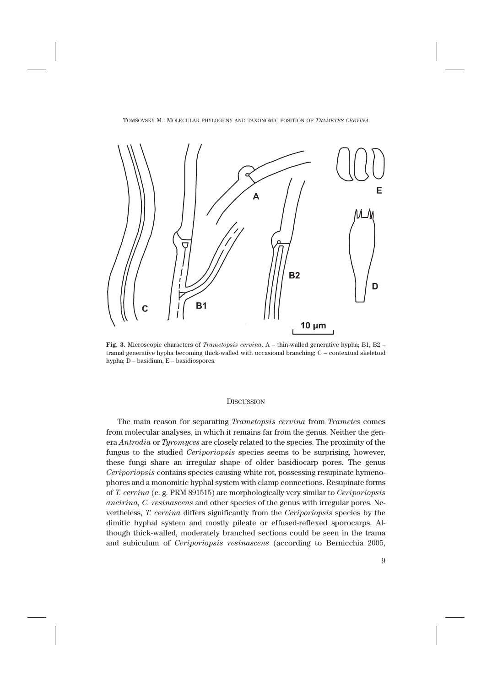

**Fig. 3.** Microscopic characters of *Trametopsis cervina*. A – thin-walled generative hypha; B1, B2 – tramal generative hypha becoming thick-walled with occasional branching; C – contextual skeletoid hypha; D – basidium, E – basidiospores.

#### **DISCUSSION**

The main reason for separating *Trametopsis cervina* from *Trametes* comes from molecular analyses, in which it remains far from the genus. Neither the genera *Antrodia* or *Tyromyces* are closely related to the species. The proximity of the fungus to the studied *Ceriporiopsis* species seems to be surprising, however, these fungi share an irregular shape of older basidiocarp pores. The genus *Ceriporiopsis* contains species causing white rot, possessing resupinate hymenophores and a monomitic hyphal system with clamp connections. Resupinate forms of *T. cervina* (e. g. PRM 891515) are morphologically very similar to *Ceriporiopsis aneirina, C. resinascens* and other species of the genus with irregular pores. Nevertheless, *T. cervina* differs significantly from the *Ceriporiopsis* species by the dimitic hyphal system and mostly pileate or effused-reflexed sporocarps. Although thick-walled, moderately branched sections could be seen in the trama and subiculum of *Ceriporiopsis resinascens* (according to Bernicchia 2005,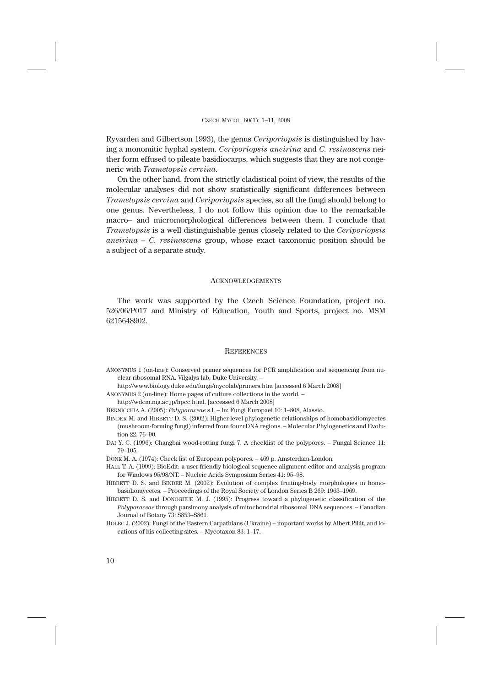Ryvarden and Gilbertson 1993), the genus *Ceriporiopsis* is distinguished by having a monomitic hyphal system. *Ceriporiopsis aneirina* and *C. resinascens* neither form effused to pileate basidiocarps, which suggests that they are not congeneric with *Trametopsis cervina*.

On the other hand, from the strictly cladistical point of view, the results of the molecular analyses did not show statistically significant differences between *Trametopsis cervina* and *Ceriporiopsis* species, so all the fungi should belong to one genus. Nevertheless, I do not follow this opinion due to the remarkable macro– and micromorphological differences between them. I conclude that *Trametopsis* is a well distinguishable genus closely related to the *Ceriporiopsis aneirina – C. resinascens* group, whose exact taxonomic position should be a subject of a separate study.

#### **ACKNOWLEDGEMENTS**

The work was supported by the Czech Science Foundation, project no. 526/06/P017 and Ministry of Education, Youth and Sports, project no. MSM 6215648902.

### **REFERENCES**

- ANONYMUS 1 (on-line): Conserved primer sequences for PCR amplification and sequencing from nuclear ribosomal RNA. Vilgalys lab, Duke University. –
- http://www.biology.duke.edu/fungi/mycolab/primers.htm [accessed 6 March 2008]
- ANONYMUS 2 (on-line): Home pages of culture collections in the world. –

http://wdcm.nig.ac.jp/hpcc.html. [accessed 6 March 2008]

BERNICCHIA A. (2005): *Polyporaceae* s.l. – In: Fungi Europaei 10: 1–808, Alassio.

- BINDER M. and HIBBETT D. S. (2002): Higher-level phylogenetic relationships of homobasidiomycetes (mushroom-forming fungi) inferred from four rDNA regions. – Molecular Phylogenetics and Evolution 22: 76–90.
- DAI Y. C. (1996): Changbai wood-rotting fungi 7. A checklist of the polypores. Fungal Science 11: 79–105.

DONK M. A. (1974): Check list of European polypores. – 469 p. Amsterdam-London.

- HALL T. A. (1999): BioEdit: a user-friendly biological sequence alignment editor and analysis program for Windows 95/98/NT. – Nucleic Acids Symposium Series 41: 95–98.
- HIBBETT D. S. and BINDER M. (2002): Evolution of complex fruiting-body morphologies in homobasidiomycetes. – Proceedings of the Royal Society of London Series B 269: 1963–1969.
- HIBBETT D. S. and DONOGHUE M. J. (1995): Progress toward a phylogenetic classification of the *Polyporaceae* through parsimony analysis of mitochondrial ribosomal DNA sequences. – Canadian Journal of Botany 73: S853–S861.
- HOLEC J. (2002): Fungi of the Eastern Carpathians (Ukraine) important works by Albert Pilát, and locations of his collecting sites. – Mycotaxon 83: 1–17.